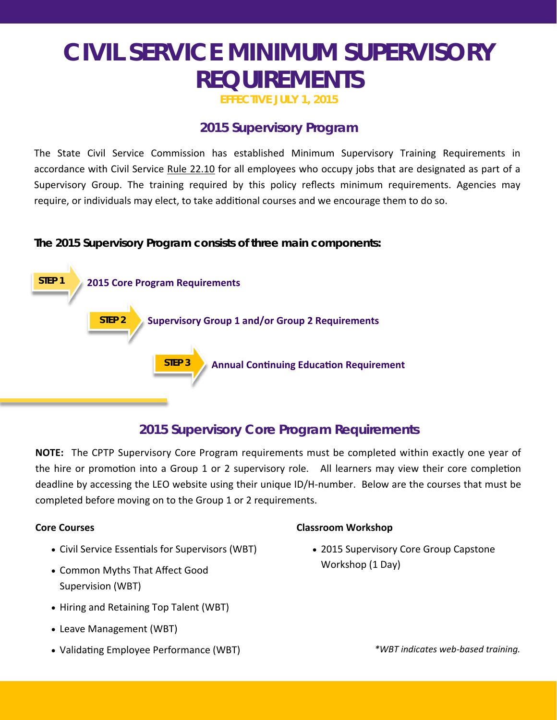**EFFECTIVE JULY 1, 2015** 

## **2015 Supervisory Program**

The State Civil Service Commission has established Minimum Supervisory Training Requirements in accordance with Civil Service Rule 22.10 for all employees who occupy jobs that are designated as part of a Supervisory Group. The training required by this policy reflects minimum requirements. Agencies may require, or individuals may elect, to take additional courses and we encourage them to do so.

**The 2015 Supervisory Program consists of three main components:** 



# **2015 Supervisory Core Program Requirements**

**NOTE:** The CPTP Supervisory Core Program requirements must be completed within exactly one year of the hire or promotion into a Group 1 or 2 supervisory role. All learners may view their core completion deadline by accessing the LEO website using their unique ID/H‐number. Below are the courses that must be completed before moving on to the Group 1 or 2 requirements.

### **Core Courses**

- Civil Service Essentials for Supervisors (WBT)
- Common Myths That Affect Good Supervision (WBT)
- Hiring and Retaining Top Talent (WBT)
- Leave Management (WBT)
- Validating Employee Performance (WBT)

### **Classroom Workshop**

• 2015 Supervisory Core Group Capstone Workshop (1 Day)

*\*WBT indicates web‐based training.*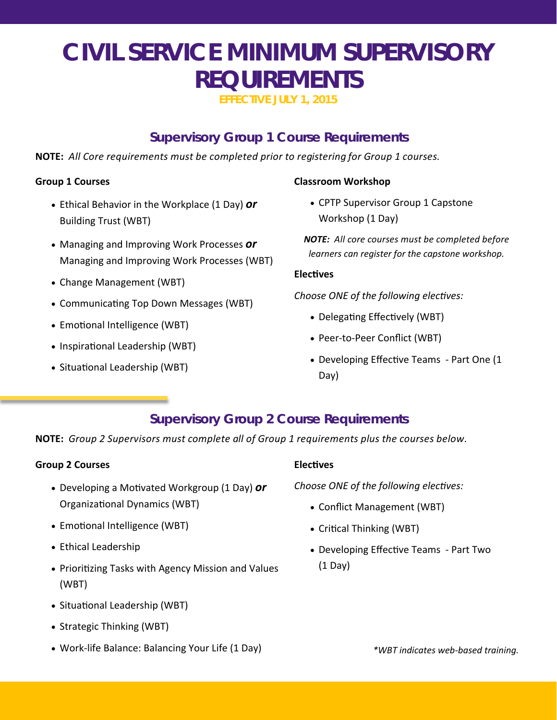**EFFECTIVE JULY 1, 2015** 

## **Supervisory Group 1 Course Requirements**

**NOTE:** *All Core requirements must be completed prior to registering for Group 1 courses.* 

#### **Group 1 Courses**

- Ethical Behavior in the Workplace (1 Day) *or*  Building Trust (WBT)
- Managing and Improving Work Processes *or*  Managing and Improving Work Processes (WBT)
- Change Management (WBT)
- Communicating Top Down Messages (WBT)
- Emotional Intelligence (WBT)
- Inspirational Leadership (WBT)
- Situational Leadership (WBT)

### **Classroom Workshop**

• CPTP Supervisor Group 1 Capstone Workshop (1 Day)

*NOTE: All core courses must be completed before learners can register for the capstone workshop.* 

#### **ElecƟves**

*Choose ONE of the following electives:* 

- Delegating Effectively (WBT)
- Peer-to-Peer Conflict (WBT)
- Developing Effective Teams Part One (1 Day)

## **Supervisory Group 2 Course Requirements**

**NOTE:** *Group 2 Supervisors must complete all of Group 1 requirements plus the courses below.* 

### **Group 2 Courses**

- Developing a Motivated Workgroup (1 Day) **or** OrganizaƟonal Dynamics (WBT)
- Emotional Intelligence (WBT)
- Ethical Leadership
- Prioritizing Tasks with Agency Mission and Values (WBT)
- Situational Leadership (WBT)
- Strategic Thinking (WBT)
- Work‐life Balance: Balancing Your Life (1 Day)

#### **ElecƟves**

*Choose ONE of the following electives:* 

- Conflict Management (WBT)
- Critical Thinking (WBT)
- Developing Effective Teams Part Two (1 Day)

*\*WBT indicates web‐based training.*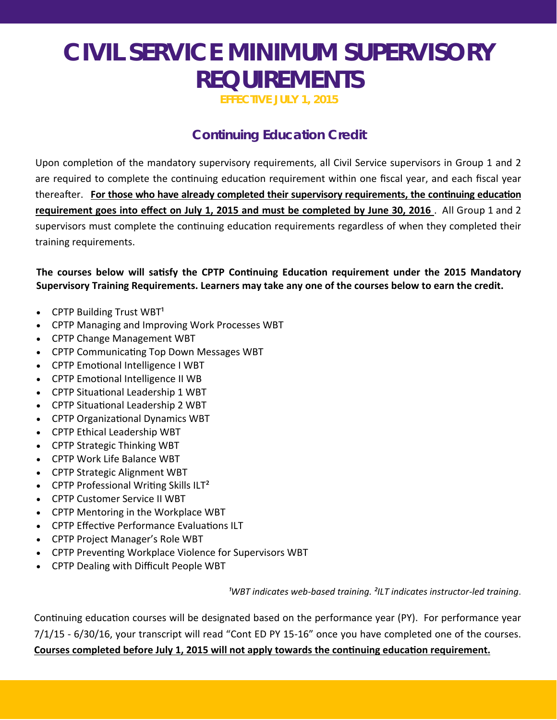**EFFECTIVE JULY 1, 2015** 

# **Continuing Education Credit**

Upon completion of the mandatory supervisory requirements, all Civil Service supervisors in Group 1 and 2 are required to complete the continuing education requirement within one fiscal year, and each fiscal year thereafter. For those who have already completed their supervisory requirements, the continuing education **requirement goes into effect on July 1, 2015 and must be completed by June 30, 2016** . All Group 1 and 2 supervisors must complete the continuing education requirements regardless of when they completed their training requirements.

**The courses below will saƟsfy the CPTP ConƟnuing EducaƟon requirement under the 2015 Mandatory Supervisory Training Requirements. Learners may take any one of the courses below to earn the credit.** 

- CPTP Building Trust WBT $1$
- CPTP Managing and Improving Work Processes WBT
- CPTP Change Management WBT
- CPTP Communicating Top Down Messages WBT
- CPTP Emotional Intelligence I WBT
- CPTP Emotional Intelligence II WB
- CPTP Situational Leadership 1 WBT
- CPTP Situational Leadership 2 WBT
- CPTP Organizational Dynamics WBT
- CPTP Ethical Leadership WBT
- CPTP Strategic Thinking WBT
- CPTP Work Life Balance WBT
- CPTP Strategic Alignment WBT
- $\bullet$  CPTP Professional Writing Skills ILT<sup>2</sup>
- CPTP Customer Service II WBT
- CPTP Mentoring in the Workplace WBT
- CPTP Effective Performance Evaluations ILT
- CPTP Project Manager's Role WBT
- CPTP Preventing Workplace Violence for Supervisors WBT
- CPTP Dealing with Difficult People WBT

*¹WBT indicates web‐based training. ²ILT indicates instructor‐led training*.

Continuing education courses will be designated based on the performance year (PY). For performance year 7/1/15 ‐ 6/30/16, your transcript will read "Cont ED PY 15‐16" once you have completed one of the courses. Courses completed before July 1, 2015 will not apply towards the continuing education requirement.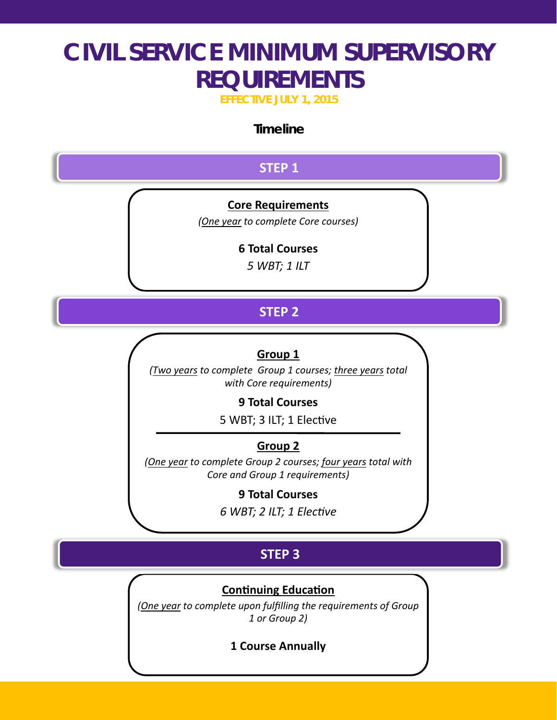**EFFECTIVE JULY 1, 2015** 

## **Timeline**

## **STEP 1**

### **Core Requirements**

*(One year to complete Core courses)* 

### **6 Total Courses**

*5 WBT; 1 ILT*

# **STEP 2**

## **Group 1**

*(Two years to complete Group 1 courses; three years total with Core requirements)* 

### **9 Total Courses**

5 WBT; 3 ILT; 1 Elective

## **Group 2**

*(One year to complete Group 2 courses; four years total with Core and Group 1 requirements)*

### **9 Total Courses**

*6 WBT; 2 ILT; 1 ElecƟve* 

# **STEP 3**

### **Continuing Education**

*(One year to complete upon fulfilling the requirements of Group 1 or Group 2)* 

**1 Course Annually**